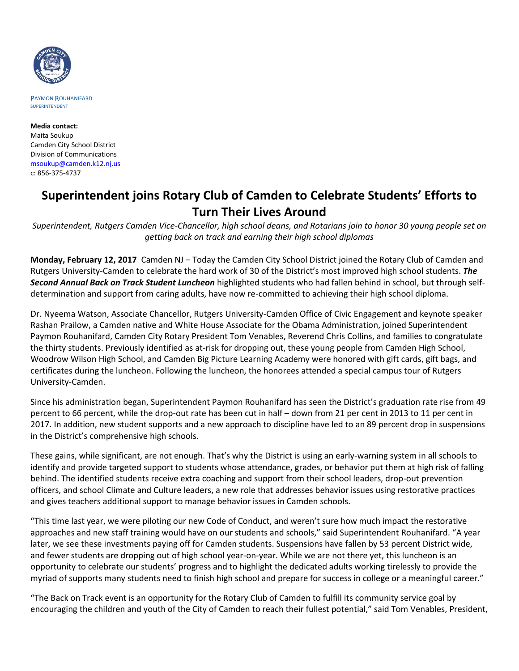

PAYMON ROUHANIFARD SUPERINTENDENT

**Media contact:** Maita Soukup Camden City School District Division of Communications [msoukup@camden.k12.nj.us](mailto:msoukup@camden.k12.nj.us) c: 856-375-4737

## **Superintendent joins Rotary Club of Camden to Celebrate Students' Efforts to Turn Their Lives Around**

*Superintendent, Rutgers Camden Vice-Chancellor, high school deans, and Rotarians join to honor 30 young people set on getting back on track and earning their high school diplomas* 

**Monday, February 12, 2017** Camden NJ – Today the Camden City School District joined the Rotary Club of Camden and Rutgers University-Camden to celebrate the hard work of 30 of the District's most improved high school students. *The Second Annual Back on Track Student Luncheon* highlighted students who had fallen behind in school, but through selfdetermination and support from caring adults, have now re-committed to achieving their high school diploma.

Dr. Nyeema Watson, Associate Chancellor, Rutgers University-Camden Office of Civic Engagement and keynote speaker Rashan Prailow, a Camden native and White House Associate for the Obama Administration, joined Superintendent Paymon Rouhanifard, Camden City Rotary President Tom Venables, Reverend Chris Collins, and families to congratulate the thirty students. Previously identified as at-risk for dropping out, these young people from Camden High School, Woodrow Wilson High School, and Camden Big Picture Learning Academy were honored with gift cards, gift bags, and certificates during the luncheon. Following the luncheon, the honorees attended a special campus tour of Rutgers University-Camden.

Since his administration began, Superintendent Paymon Rouhanifard has seen the District's graduation rate rise from 49 percent to 66 percent, while the drop-out rate has been cut in half – down from 21 per cent in 2013 to 11 per cent in 2017. In addition, new student supports and a new approach to discipline have led to an 89 percent drop in suspensions in the District's comprehensive high schools.

These gains, while significant, are not enough. That's why the District is using an early-warning system in all schools to identify and provide targeted support to students whose attendance, grades, or behavior put them at high risk of falling behind. The identified students receive extra coaching and support from their school leaders, drop-out prevention officers, and school Climate and Culture leaders, a new role that addresses behavior issues using restorative practices and gives teachers additional support to manage behavior issues in Camden schools.

"This time last year, we were piloting our new Code of Conduct, and weren't sure how much impact the restorative approaches and new staff training would have on our students and schools," said Superintendent Rouhanifard. "A year later, we see these investments paying off for Camden students. Suspensions have fallen by 53 percent District wide, and fewer students are dropping out of high school year-on-year. While we are not there yet, this luncheon is an opportunity to celebrate our students' progress and to highlight the dedicated adults working tirelessly to provide the myriad of supports many students need to finish high school and prepare for success in college or a meaningful career."

"The Back on Track event is an opportunity for the Rotary Club of Camden to fulfill its community service goal by encouraging the children and youth of the City of Camden to reach their fullest potential," said Tom Venables, President,